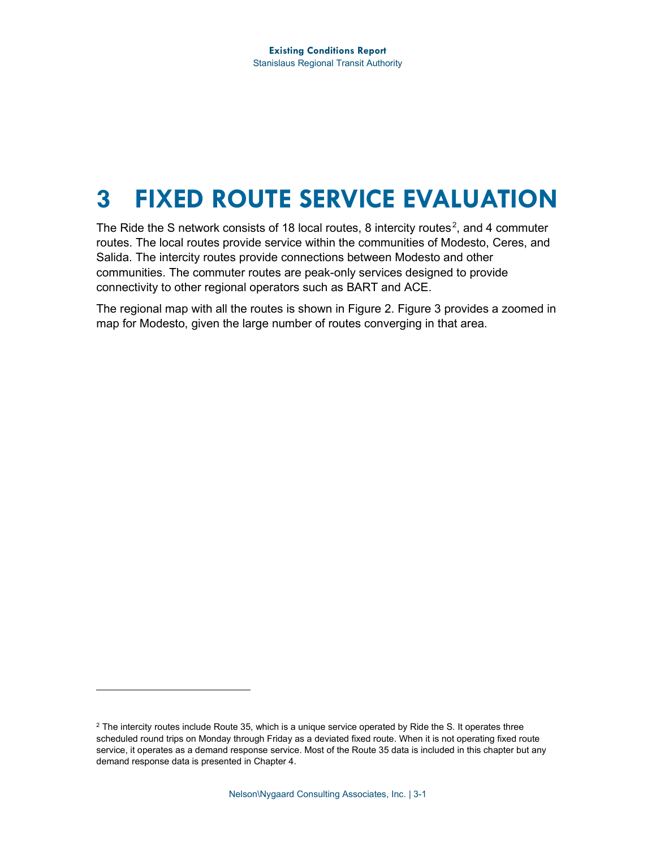# **3 FIXED ROUTE SERVICE EVALUATION**

The Ride the S network consists of 18 local routes, 8 intercity routes<sup>[2](#page-0-0)</sup>, and 4 commuter routes. The local routes provide service within the communities of Modesto, Ceres, and Salida. The intercity routes provide connections between Modesto and other communities. The commuter routes are peak-only services designed to provide connectivity to other regional operators such as BART and ACE.

The regional map with all the routes is shown in [Figure 2.](#page-1-0) [Figure 3](#page-2-0) provides a zoomed in map for Modesto, given the large number of routes converging in that area.

<span id="page-0-0"></span> $2$  The intercity routes include Route 35, which is a unique service operated by Ride the S. It operates three scheduled round trips on Monday through Friday as a deviated fixed route. When it is not operating fixed route service, it operates as a demand response service. Most of the Route 35 data is included in this chapter but any demand response data is presented in Chapter 4.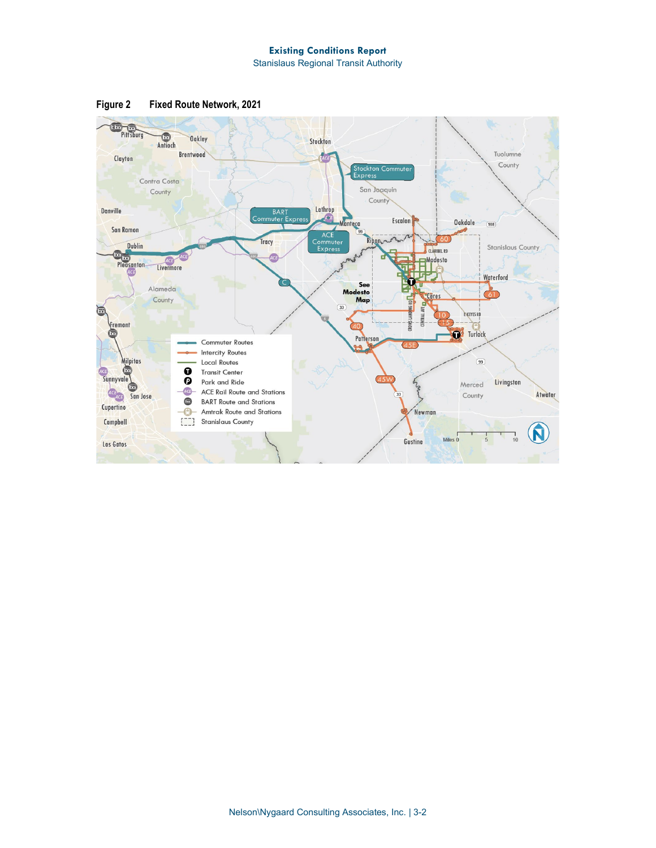

<span id="page-1-0"></span>**Figure 2 Fixed Route Network, 2021**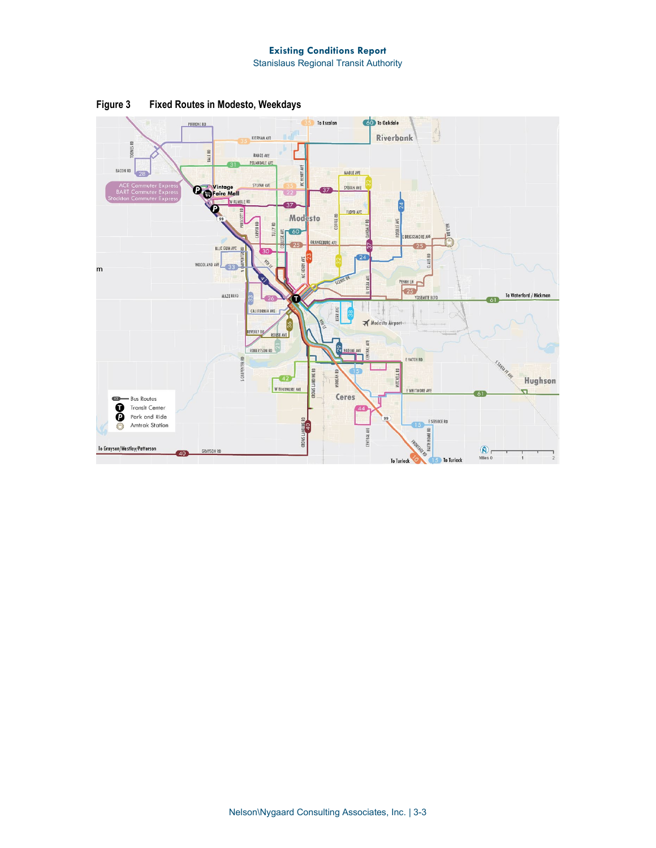

<span id="page-2-0"></span>**Figure 3 Fixed Routes in Modesto, Weekdays**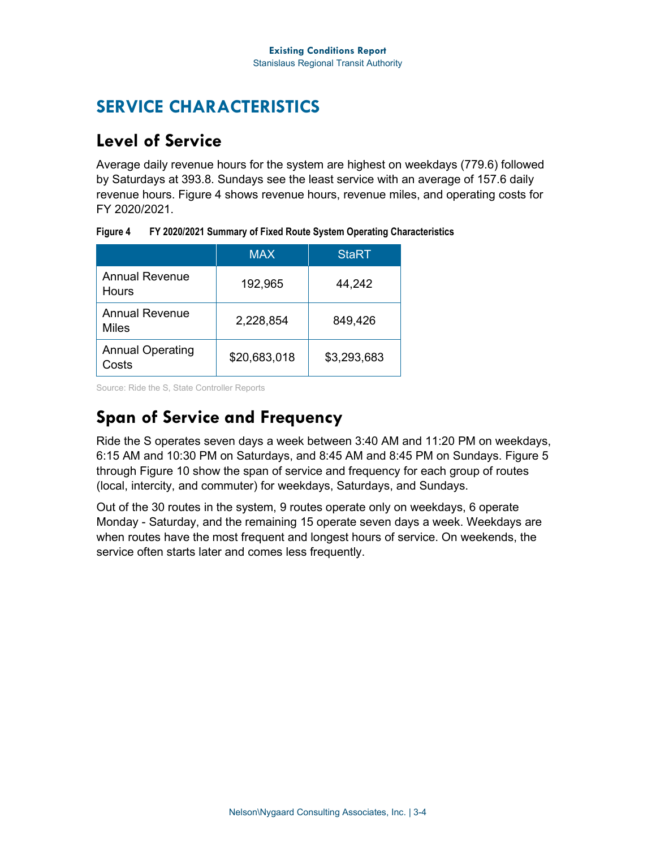## **SERVICE CHARACTERISTICS**

## **Level of Service**

Average daily revenue hours for the system are highest on weekdays (779.6) followed by Saturdays at 393.8. Sundays see the least service with an average of 157.6 daily revenue hours. [Figure 4](#page-3-0) shows revenue hours, revenue miles, and operating costs for FY 2020/2021.

|                                       | <b>MAX</b>   | <b>StaRT</b> |
|---------------------------------------|--------------|--------------|
| <b>Annual Revenue</b><br><b>Hours</b> | 192,965      | 44,242       |
| <b>Annual Revenue</b><br>Miles        | 2,228,854    | 849,426      |
| <b>Annual Operating</b><br>Costs      | \$20,683,018 | \$3,293,683  |

<span id="page-3-0"></span>**Figure 4 FY 2020/2021 Summary of Fixed Route System Operating Characteristics**

Source: Ride the S, State Controller Reports

## **Span of Service and Frequency**

Ride the S operates seven days a week between 3:40 AM and 11:20 PM on weekdays, 6:15 AM and 10:30 PM on Saturdays, and 8:45 AM and 8:45 PM on Sundays. [Figure 5](#page-4-0) through [Figure 10](#page-9-0) show the span of service and frequency for each group of routes (local, intercity, and commuter) for weekdays, Saturdays, and Sundays.

Out of the 30 routes in the system, 9 routes operate only on weekdays, 6 operate Monday - Saturday, and the remaining 15 operate seven days a week. Weekdays are when routes have the most frequent and longest hours of service. On weekends, the service often starts later and comes less frequently.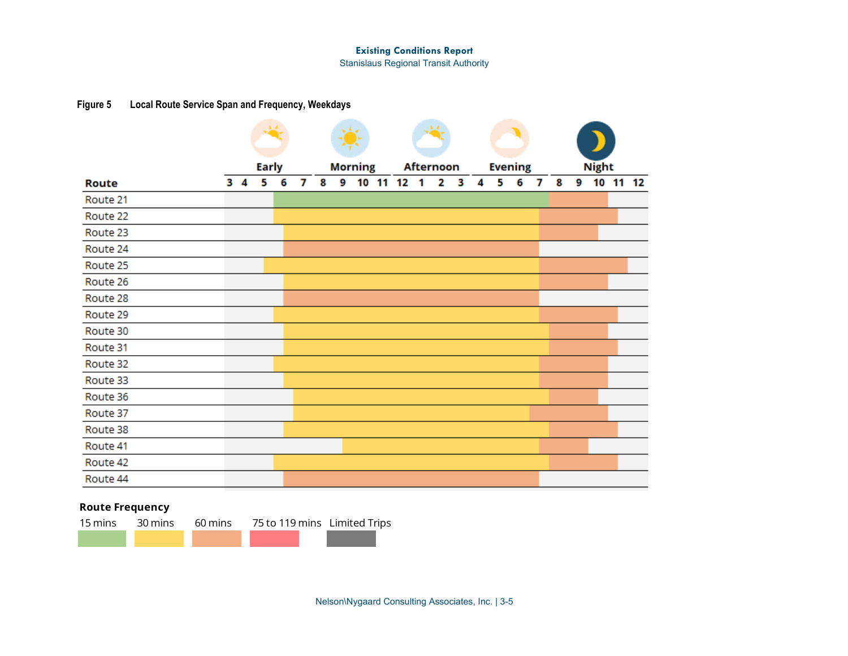Stanislaus Regional Transit Authority

## **Figure 5 Local Route Service Span and Frequency, Weekdays**

<span id="page-4-0"></span>

|              |            | Early |   |   |   |   | <b>Morning</b> |    |    | <b>Afternoon</b> |   |   |   |   | <b>Evening</b> |   |   |   | <b>Night</b> |          |
|--------------|------------|-------|---|---|---|---|----------------|----|----|------------------|---|---|---|---|----------------|---|---|---|--------------|----------|
| <b>Route</b> | $3\quad 4$ | 5     | 6 | 7 | 8 | 9 | 10             | 11 | 12 | 1                | 2 | з | 4 | 5 | 6              | 7 | 8 | 9 |              | 10 11 12 |
| Route 21     |            |       |   |   |   |   |                |    |    |                  |   |   |   |   |                |   |   |   |              |          |
| Route 22     |            |       |   |   |   |   |                |    |    |                  |   |   |   |   |                |   |   |   |              |          |
| Route 23     |            |       |   |   |   |   |                |    |    |                  |   |   |   |   |                |   |   |   |              |          |
| Route 24     |            |       |   |   |   |   |                |    |    |                  |   |   |   |   |                |   |   |   |              |          |
| Route 25     |            |       |   |   |   |   |                |    |    |                  |   |   |   |   |                |   |   |   |              |          |
| Route 26     |            |       |   |   |   |   |                |    |    |                  |   |   |   |   |                |   |   |   |              |          |
| Route 28     |            |       |   |   |   |   |                |    |    |                  |   |   |   |   |                |   |   |   |              |          |
| Route 29     |            |       |   |   |   |   |                |    |    |                  |   |   |   |   |                |   |   |   |              |          |
| Route 30     |            |       |   |   |   |   |                |    |    |                  |   |   |   |   |                |   |   |   |              |          |
| Route 31     |            |       |   |   |   |   |                |    |    |                  |   |   |   |   |                |   |   |   |              |          |
| Route 32     |            |       |   |   |   |   |                |    |    |                  |   |   |   |   |                |   |   |   |              |          |
| Route 33     |            |       |   |   |   |   |                |    |    |                  |   |   |   |   |                |   |   |   |              |          |
| Route 36     |            |       |   |   |   |   |                |    |    |                  |   |   |   |   |                |   |   |   |              |          |
| Route 37     |            |       |   |   |   |   |                |    |    |                  |   |   |   |   |                |   |   |   |              |          |
| Route 38     |            |       |   |   |   |   |                |    |    |                  |   |   |   |   |                |   |   |   |              |          |
| Route 41     |            |       |   |   |   |   |                |    |    |                  |   |   |   |   |                |   |   |   |              |          |
| Route 42     |            |       |   |   |   |   |                |    |    |                  |   |   |   |   |                |   |   |   |              |          |
| Route 44     |            |       |   |   |   |   |                |    |    |                  |   |   |   |   |                |   |   |   |              |          |
|              |            |       |   |   |   |   |                |    |    |                  |   |   |   |   |                |   |   |   |              |          |

## **Route Frequency**

| 15 mins |  | 30 mins 60 mins 75 to 119 mins Limited Trips |  |
|---------|--|----------------------------------------------|--|
|         |  |                                              |  |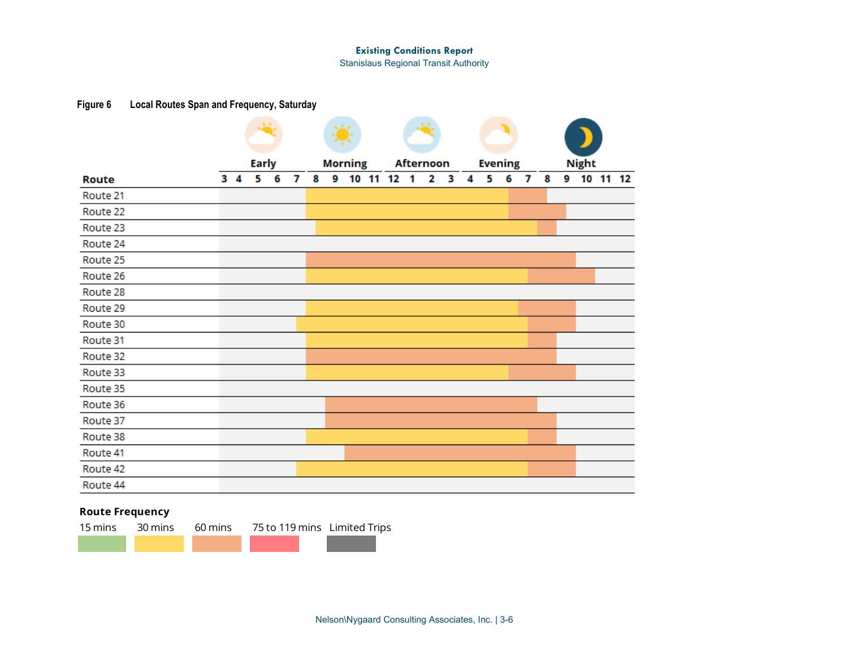Stanislaus Regional Transit Authority

## **Figure 6 Local Routes Span and Frequency, Saturday**

| <b>Route</b> | $3\quad 4$ | <b>Early</b><br>5 | 6 | 7 | 8 | 9 | <b>Morning</b><br>10 11 | 12 | 1 | <b>Afternoon</b><br>2 | 3 | 4 | <b>Evening</b><br>5 | 6 | 7 | 8 | <b>Night</b><br>9 10 11 12 |  |
|--------------|------------|-------------------|---|---|---|---|-------------------------|----|---|-----------------------|---|---|---------------------|---|---|---|----------------------------|--|
| Route 21     |            |                   |   |   |   |   |                         |    |   |                       |   |   |                     |   |   |   |                            |  |
| Route 22     |            |                   |   |   |   |   |                         |    |   |                       |   |   |                     |   |   |   |                            |  |
| Route 23     |            |                   |   |   |   |   |                         |    |   |                       |   |   |                     |   |   |   |                            |  |
| Route 24     |            |                   |   |   |   |   |                         |    |   |                       |   |   |                     |   |   |   |                            |  |
| Route 25     |            |                   |   |   |   |   |                         |    |   |                       |   |   |                     |   |   |   |                            |  |
| Route 26     |            |                   |   |   |   |   |                         |    |   |                       |   |   |                     |   |   |   |                            |  |
| Route 28     |            |                   |   |   |   |   |                         |    |   |                       |   |   |                     |   |   |   |                            |  |
| Route 29     |            |                   |   |   |   |   |                         |    |   |                       |   |   |                     |   |   |   |                            |  |
| Route 30     |            |                   |   |   |   |   |                         |    |   |                       |   |   |                     |   |   |   |                            |  |
| Route 31     |            |                   |   |   |   |   |                         |    |   |                       |   |   |                     |   |   |   |                            |  |
| Route 32     |            |                   |   |   |   |   |                         |    |   |                       |   |   |                     |   |   |   |                            |  |
| Route 33     |            |                   |   |   |   |   |                         |    |   |                       |   |   |                     |   |   |   |                            |  |
| Route 35     |            |                   |   |   |   |   |                         |    |   |                       |   |   |                     |   |   |   |                            |  |
| Route 36     |            |                   |   |   |   |   |                         |    |   |                       |   |   |                     |   |   |   |                            |  |
| Route 37     |            |                   |   |   |   |   |                         |    |   |                       |   |   |                     |   |   |   |                            |  |
| Route 38     |            |                   |   |   |   |   |                         |    |   |                       |   |   |                     |   |   |   |                            |  |
| Route 41     |            |                   |   |   |   |   |                         |    |   |                       |   |   |                     |   |   |   |                            |  |
| Route 42     |            |                   |   |   |   |   |                         |    |   |                       |   |   |                     |   |   |   |                            |  |
| Route 44     |            |                   |   |   |   |   |                         |    |   |                       |   |   |                     |   |   |   |                            |  |

## **Route Frequency**

| 15 mins |  | 30 mins 60 mins 75 to 119 mins Limited Trips |  |
|---------|--|----------------------------------------------|--|
|         |  |                                              |  |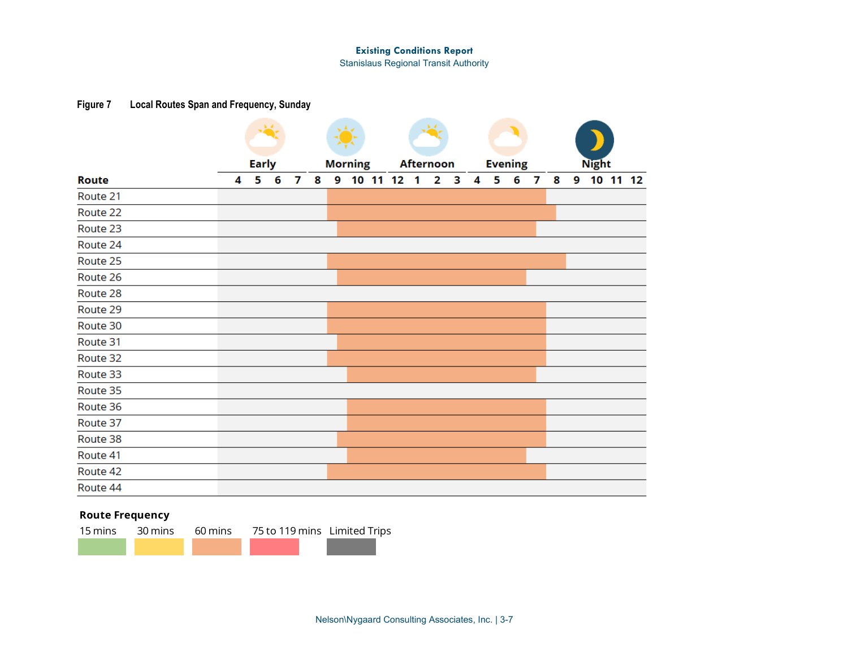Stanislaus Regional Transit Authority

## **Figure 7 Local Routes Span and Frequency, Sunday**

|                          |   | <b>Early</b> |   |   |   |   | <b>Morning</b> | -1 | <b>Afternoon</b> | 3 |   |   | <b>Evening</b> |   |   |   | <b>Night</b> |          |  |
|--------------------------|---|--------------|---|---|---|---|----------------|----|------------------|---|---|---|----------------|---|---|---|--------------|----------|--|
| <b>Route</b><br>Route 21 | 4 | 5            | 6 | 7 | 8 | 9 | 10 11 12       |    | 2                |   | 4 | 5 | 6              | 7 | 8 | 9 |              | 10 11 12 |  |
|                          |   |              |   |   |   |   |                |    |                  |   |   |   |                |   |   |   |              |          |  |
| Route 22                 |   |              |   |   |   |   |                |    |                  |   |   |   |                |   |   |   |              |          |  |
| Route 23                 |   |              |   |   |   |   |                |    |                  |   |   |   |                |   |   |   |              |          |  |
| Route 24                 |   |              |   |   |   |   |                |    |                  |   |   |   |                |   |   |   |              |          |  |
| Route 25                 |   |              |   |   |   |   |                |    |                  |   |   |   |                |   |   |   |              |          |  |
| Route 26                 |   |              |   |   |   |   |                |    |                  |   |   |   |                |   |   |   |              |          |  |
| Route 28                 |   |              |   |   |   |   |                |    |                  |   |   |   |                |   |   |   |              |          |  |
| Route 29                 |   |              |   |   |   |   |                |    |                  |   |   |   |                |   |   |   |              |          |  |
| Route 30                 |   |              |   |   |   |   |                |    |                  |   |   |   |                |   |   |   |              |          |  |
| Route 31                 |   |              |   |   |   |   |                |    |                  |   |   |   |                |   |   |   |              |          |  |
| Route 32                 |   |              |   |   |   |   |                |    |                  |   |   |   |                |   |   |   |              |          |  |
| Route 33                 |   |              |   |   |   |   |                |    |                  |   |   |   |                |   |   |   |              |          |  |
| Route 35                 |   |              |   |   |   |   |                |    |                  |   |   |   |                |   |   |   |              |          |  |
| Route 36                 |   |              |   |   |   |   |                |    |                  |   |   |   |                |   |   |   |              |          |  |
| Route 37                 |   |              |   |   |   |   |                |    |                  |   |   |   |                |   |   |   |              |          |  |
| Route 38                 |   |              |   |   |   |   |                |    |                  |   |   |   |                |   |   |   |              |          |  |
| Route 41                 |   |              |   |   |   |   |                |    |                  |   |   |   |                |   |   |   |              |          |  |
| Route 42                 |   |              |   |   |   |   |                |    |                  |   |   |   |                |   |   |   |              |          |  |
| Route 44                 |   |              |   |   |   |   |                |    |                  |   |   |   |                |   |   |   |              |          |  |

## **Route Frequency**

15 mins 30 mins 60 mins 75 to 119 mins Limited Trips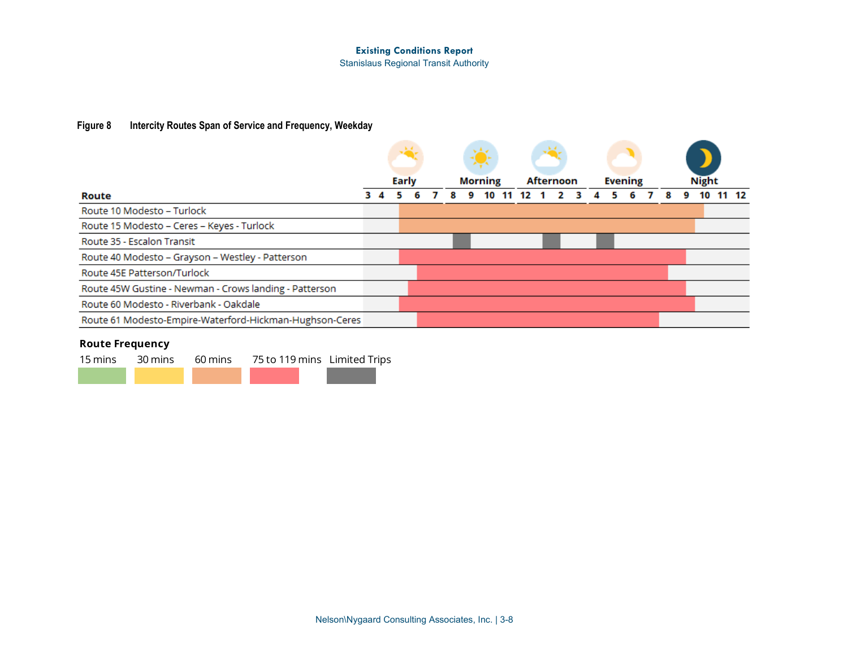Stanislaus Regional Transit Authority

## **Figure 8 Intercity Routes Span of Service and Frequency, Weekday**

|                                                         |  |       |  |   | Ň,             |    |    |                  |  |                |  |  |              |       |
|---------------------------------------------------------|--|-------|--|---|----------------|----|----|------------------|--|----------------|--|--|--------------|-------|
|                                                         |  | Early |  |   | <b>Morning</b> |    |    | <b>Afternoon</b> |  | <b>Evening</b> |  |  | <b>Night</b> |       |
| Route                                                   |  |       |  | 8 | 9              | 10 | 12 |                  |  |                |  |  | 10           | 11 12 |
| Route 10 Modesto – Turlock                              |  |       |  |   |                |    |    |                  |  |                |  |  |              |       |
| Route 15 Modesto - Ceres - Keyes - Turlock              |  |       |  |   |                |    |    |                  |  |                |  |  |              |       |
| Route 35 - Escalon Transit                              |  |       |  |   |                |    |    |                  |  |                |  |  |              |       |
| Route 40 Modesto - Grayson - Westley - Patterson        |  |       |  |   |                |    |    |                  |  |                |  |  |              |       |
| Route 45E Patterson/Turlock                             |  |       |  |   |                |    |    |                  |  |                |  |  |              |       |
| Route 45W Gustine - Newman - Crows landing - Patterson  |  |       |  |   |                |    |    |                  |  |                |  |  |              |       |
| Route 60 Modesto - Riverbank - Oakdale                  |  |       |  |   |                |    |    |                  |  |                |  |  |              |       |
| Route 61 Modesto-Empire-Waterford-Hickman-Hughson-Ceres |  |       |  |   |                |    |    |                  |  |                |  |  |              |       |

## **Route Frequency**

15 mins 30 mins 60 mins 75 to 119 mins Limited Trips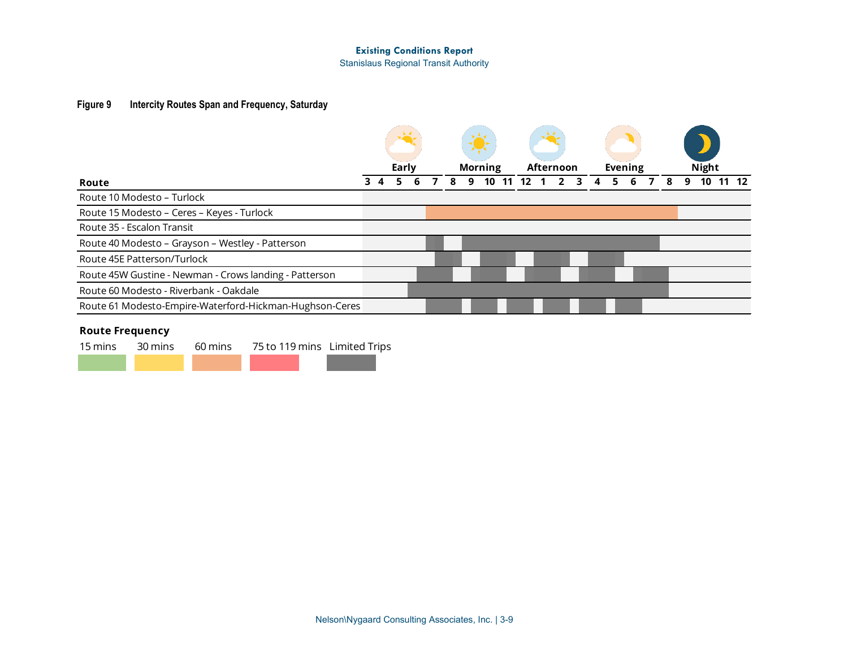Stanislaus Regional Transit Authority

## **Figure 9 Intercity Routes Span and Frequency, Saturday**

|                                                         |  | Early |  |   | <b>Morning</b> |    | Afternoon |  |  | <b>Evening</b> |  |   | <b>Night</b> |       |  |
|---------------------------------------------------------|--|-------|--|---|----------------|----|-----------|--|--|----------------|--|---|--------------|-------|--|
| Route                                                   |  | 5     |  | 9 | 10             | 12 |           |  |  | 6              |  | g | 10           | 11 12 |  |
| Route 10 Modesto – Turlock                              |  |       |  |   |                |    |           |  |  |                |  |   |              |       |  |
| Route 15 Modesto - Ceres - Keyes - Turlock              |  |       |  |   |                |    |           |  |  |                |  |   |              |       |  |
| Route 35 - Escalon Transit                              |  |       |  |   |                |    |           |  |  |                |  |   |              |       |  |
| Route 40 Modesto - Grayson - Westley - Patterson        |  |       |  |   |                |    |           |  |  |                |  |   |              |       |  |
| Route 45E Patterson/Turlock                             |  |       |  |   |                |    |           |  |  |                |  |   |              |       |  |
| Route 45W Gustine - Newman - Crows landing - Patterson  |  |       |  |   |                |    |           |  |  |                |  |   |              |       |  |
| Route 60 Modesto - Riverbank - Oakdale                  |  |       |  |   |                |    |           |  |  |                |  |   |              |       |  |
| Route 61 Modesto-Empire-Waterford-Hickman-Hughson-Ceres |  |       |  |   |                |    |           |  |  |                |  |   |              |       |  |

## **Route Frequency**

|  | 15 mins 30 mins 60 mins 75 to 119 mins Limited Trips |  |
|--|------------------------------------------------------|--|
|  |                                                      |  |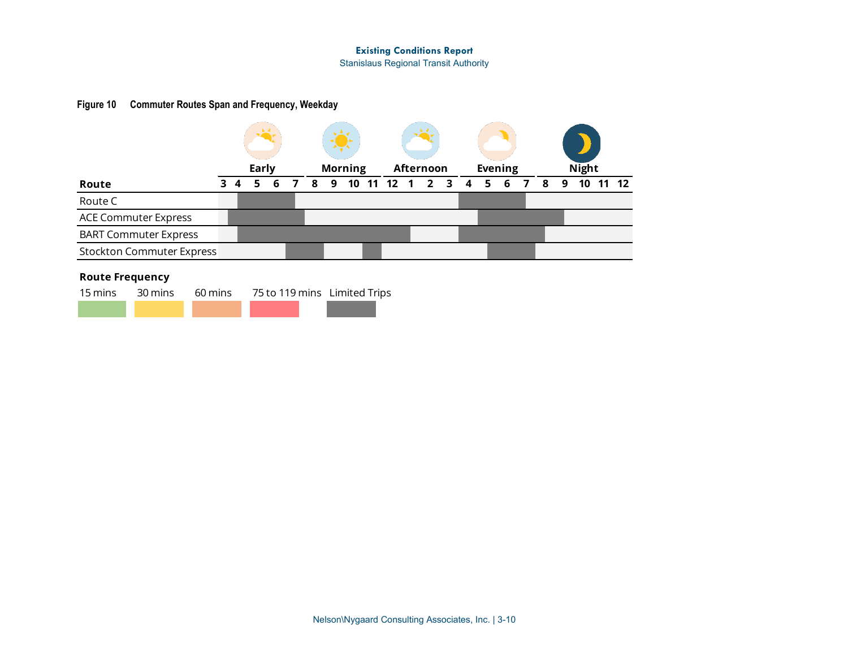Stanislaus Regional Transit Authority

## **Figure 10 Commuter Routes Span and Frequency, Weekday**

|                                  |  | Early |   |   |   | <b>Morning</b> |            | Afternoon |                |   | <b>Evening</b> |   |   |   | <b>Night</b> |           |
|----------------------------------|--|-------|---|---|---|----------------|------------|-----------|----------------|---|----------------|---|---|---|--------------|-----------|
| Route                            |  |       | 6 | 8 | 9 |                | 10 11 12 1 |           | 2 <sub>3</sub> | 4 | 5              | 6 | 8 | 9 | 10           | $11 \t12$ |
| Route C                          |  |       |   |   |   |                |            |           |                |   |                |   |   |   |              |           |
| <b>ACE Commuter Express</b>      |  |       |   |   |   |                |            |           |                |   |                |   |   |   |              |           |
| <b>BART Commuter Express</b>     |  |       |   |   |   |                |            |           |                |   |                |   |   |   |              |           |
| <b>Stockton Commuter Express</b> |  |       |   |   |   |                |            |           |                |   |                |   |   |   |              |           |

## **Route Frequency**

<span id="page-9-0"></span>

|  | 15 mins 30 mins 60 mins 75 to 119 mins Limited Trips |  |
|--|------------------------------------------------------|--|
|  |                                                      |  |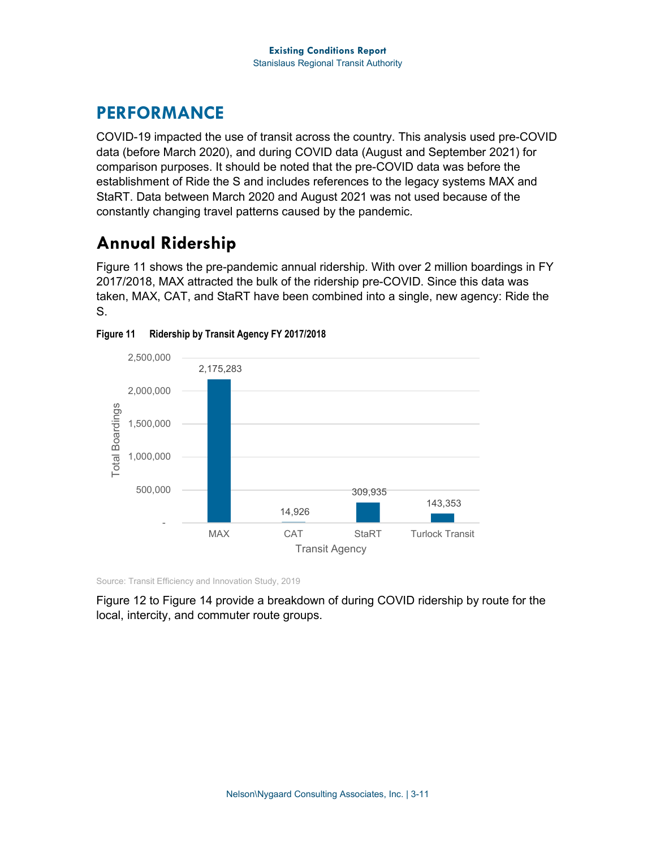## **PERFORMANCE**

COVID-19 impacted the use of transit across the country. This analysis used pre-COVID data (before March 2020), and during COVID data (August and September 2021) for comparison purposes. It should be noted that the pre-COVID data was before the establishment of Ride the S and includes references to the legacy systems MAX and StaRT. Data between March 2020 and August 2021 was not used because of the constantly changing travel patterns caused by the pandemic.

## **Annual Ridership**

[Figure 11](#page-10-0) shows the pre-pandemic annual ridership. With over 2 million boardings in FY 2017/2018, MAX attracted the bulk of the ridership pre-COVID. Since this data was taken, MAX, CAT, and StaRT have been combined into a single, new agency: Ride the S.



<span id="page-10-0"></span>

Source: Transit Efficiency and Innovation Study, 2019

[Figure 12](#page-11-0) to [Figure 14](#page-12-0) provide a breakdown of during COVID ridership by route for the local, intercity, and commuter route groups.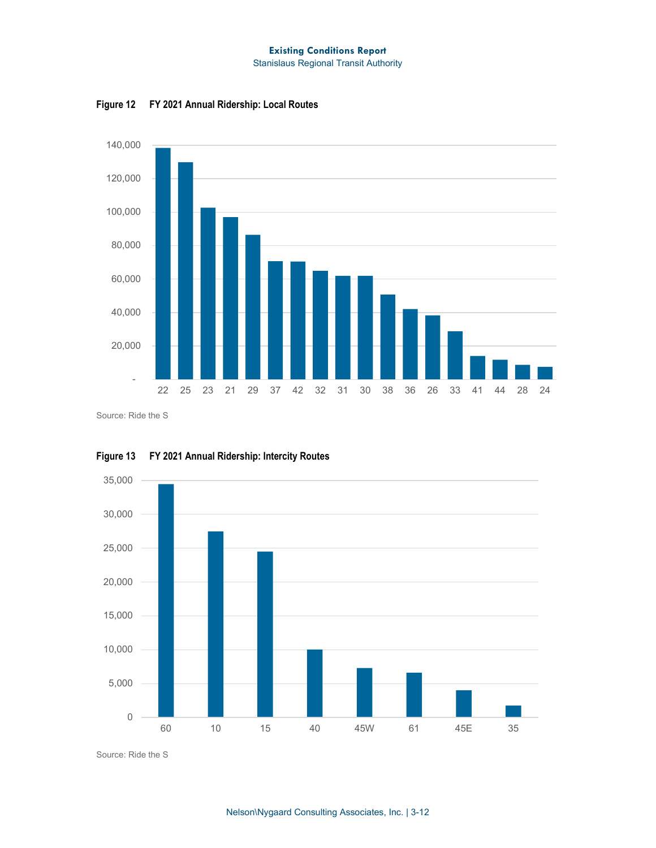Stanislaus Regional Transit Authority



<span id="page-11-0"></span>**Figure 12 FY 2021 Annual Ridership: Local Routes**

Source: Ride the S



**Figure 13 FY 2021 Annual Ridership: Intercity Routes**

Source: Ride the S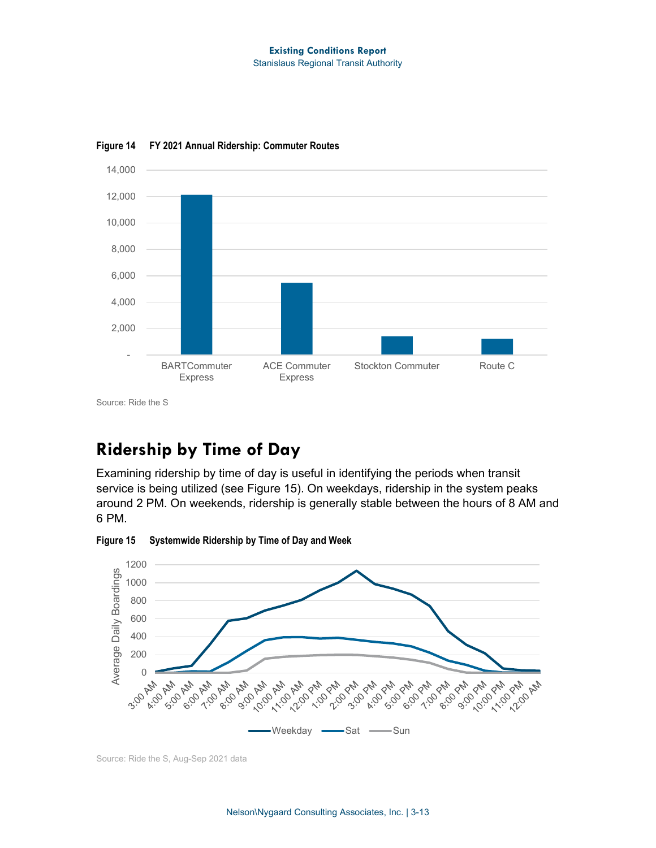#### **Existing Conditions Report** Stanislaus Regional Transit Authority



<span id="page-12-0"></span>**Figure 14 FY 2021 Annual Ridership: Commuter Routes**

Source: Ride the S

## **Ridership by Time of Day**

Examining ridership by time of day is useful in identifying the periods when transit service is being utilized (see [Figure 15\)](#page-12-1). On weekdays, ridership in the system peaks around 2 PM. On weekends, ridership is generally stable between the hours of 8 AM and 6 PM.

<span id="page-12-1"></span>**Figure 15 Systemwide Ridership by Time of Day and Week**

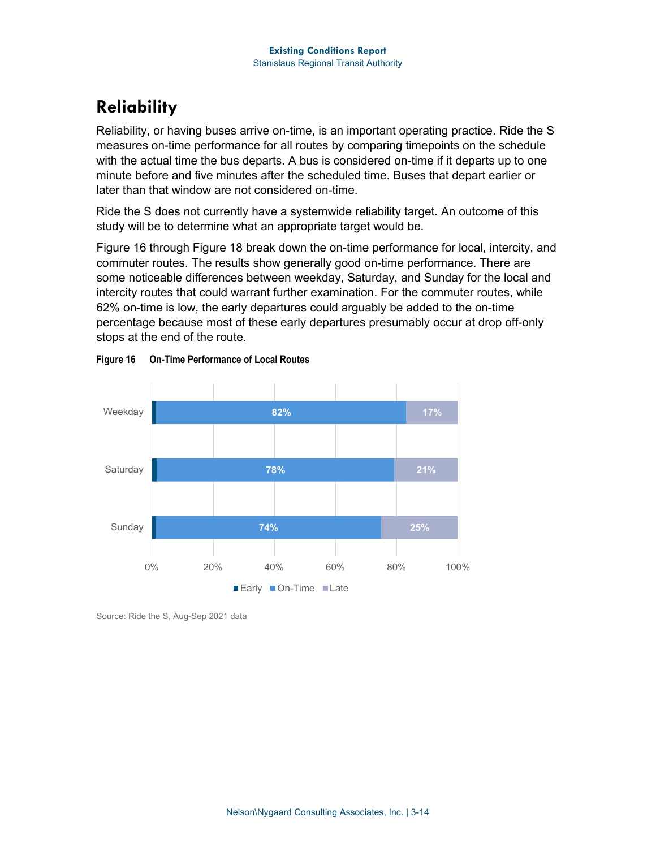## **Reliability**

Reliability, or having buses arrive on-time, is an important operating practice. Ride the S measures on-time performance for all routes by comparing timepoints on the schedule with the actual time the bus departs. A bus is considered on-time if it departs up to one minute before and five minutes after the scheduled time. Buses that depart earlier or later than that window are not considered on-time.

Ride the S does not currently have a systemwide reliability target. An outcome of this study will be to determine what an appropriate target would be.

[Figure 16](#page-13-0) through [Figure 18](#page-14-0) break down the on-time performance for local, intercity, and commuter routes. The results show generally good on-time performance. There are some noticeable differences between weekday, Saturday, and Sunday for the local and intercity routes that could warrant further examination. For the commuter routes, while 62% on-time is low, the early departures could arguably be added to the on-time percentage because most of these early departures presumably occur at drop off-only stops at the end of the route.



<span id="page-13-0"></span>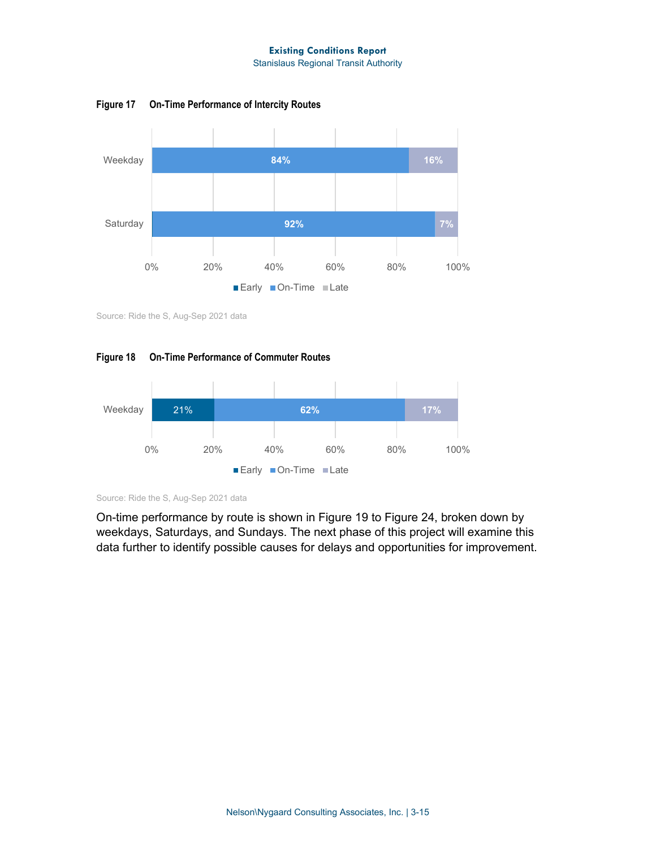Stanislaus Regional Transit Authority

**Figure 17 On-Time Performance of Intercity Routes**



Source: Ride the S, Aug-Sep 2021 data

<span id="page-14-0"></span>



Source: Ride the S, Aug-Sep 2021 data

On-time performance by route is shown in [Figure 19](#page-15-0) to [Figure 24,](#page-18-0) broken down by weekdays, Saturdays, and Sundays. The next phase of this project will examine this data further to identify possible causes for delays and opportunities for improvement.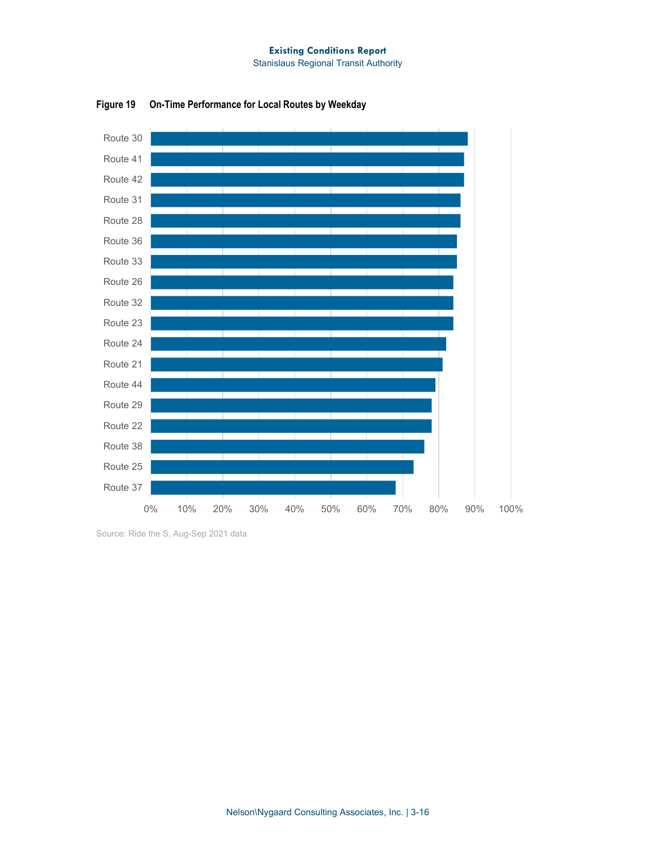

<span id="page-15-0"></span>**Figure 19 On-Time Performance for Local Routes by Weekday**

Source: Ride the S, Aug-Sep 2021 data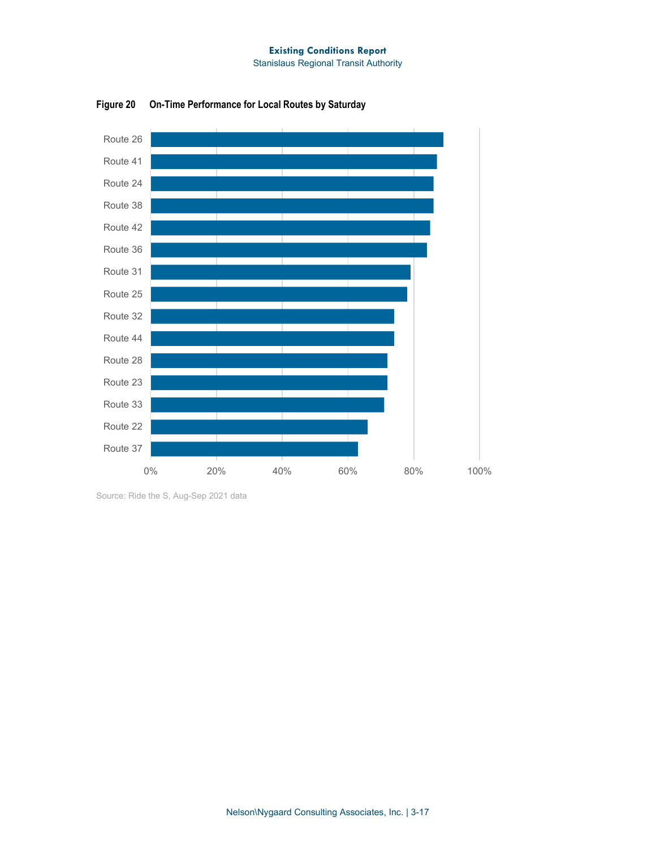

**Figure 20 On-Time Performance for Local Routes by Saturday**

Source: Ride the S, Aug-Sep 2021 data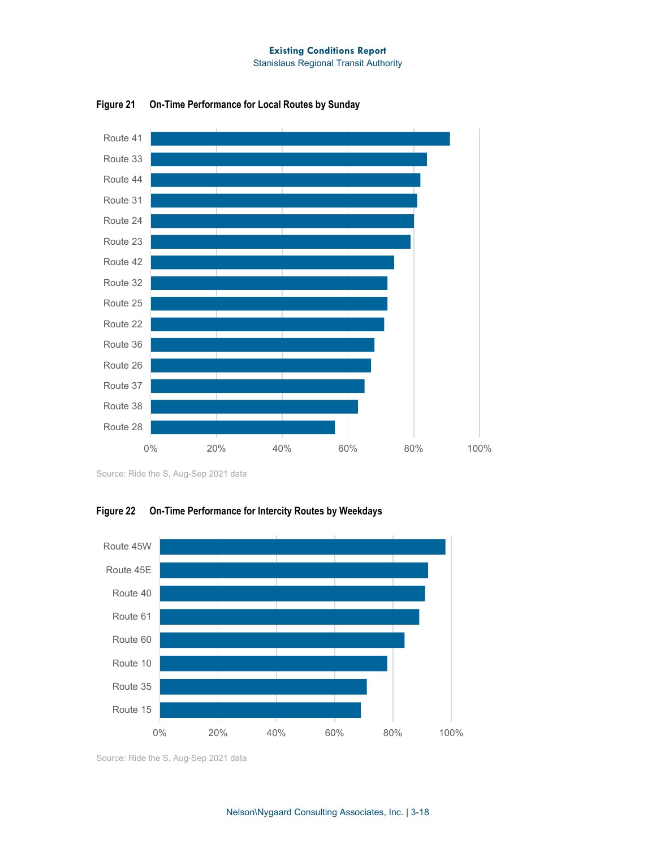

**Figure 21 On-Time Performance for Local Routes by Sunday**

Source: Ride the S, Aug-Sep 2021 data



**Figure 22 On-Time Performance for Intercity Routes by Weekdays**

Source: Ride the S, Aug-Sep 2021 data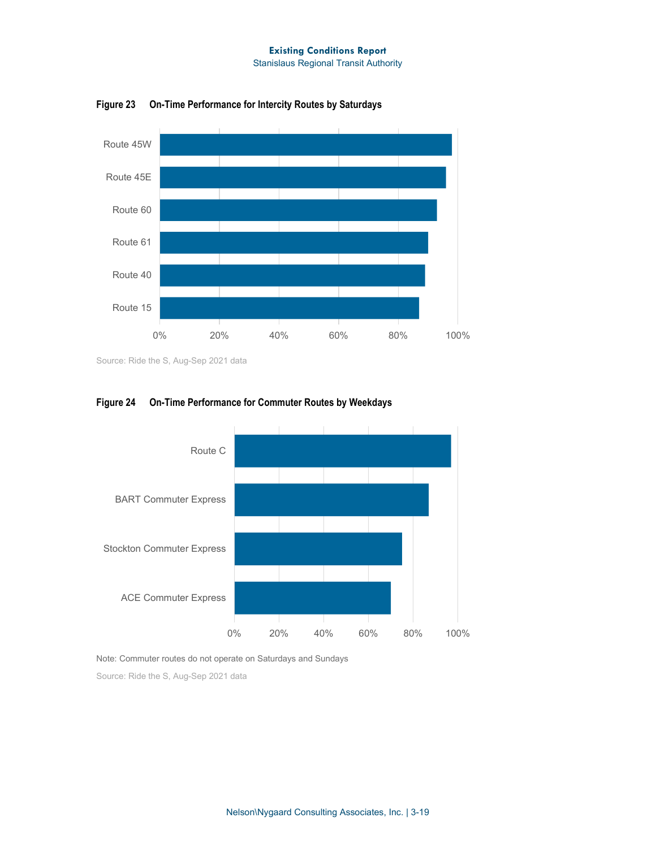Stanislaus Regional Transit Authority



**Figure 23 On-Time Performance for Intercity Routes by Saturdays**

Source: Ride the S, Aug-Sep 2021 data



### <span id="page-18-0"></span>**Figure 24 On-Time Performance for Commuter Routes by Weekdays**

Note: Commuter routes do not operate on Saturdays and Sundays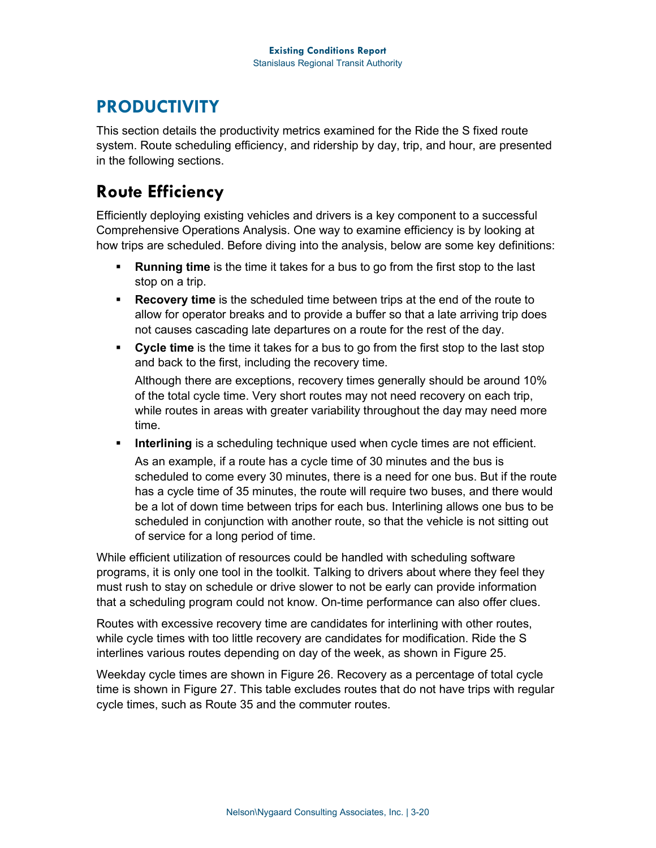## **PRODUCTIVITY**

This section details the productivity metrics examined for the Ride the S fixed route system. Route scheduling efficiency, and ridership by day, trip, and hour, are presented in the following sections.

## **Route Efficiency**

Efficiently deploying existing vehicles and drivers is a key component to a successful Comprehensive Operations Analysis. One way to examine efficiency is by looking at how trips are scheduled. Before diving into the analysis, below are some key definitions:

- **Running time** is the time it takes for a bus to go from the first stop to the last stop on a trip.
- **Recovery time** is the scheduled time between trips at the end of the route to allow for operator breaks and to provide a buffer so that a late arriving trip does not causes cascading late departures on a route for the rest of the day.
- **Cycle time** is the time it takes for a bus to go from the first stop to the last stop and back to the first, including the recovery time.

Although there are exceptions, recovery times generally should be around 10% of the total cycle time. Very short routes may not need recovery on each trip, while routes in areas with greater variability throughout the day may need more time.

**Interlining** is a scheduling technique used when cycle times are not efficient.

As an example, if a route has a cycle time of 30 minutes and the bus is scheduled to come every 30 minutes, there is a need for one bus. But if the route has a cycle time of 35 minutes, the route will require two buses, and there would be a lot of down time between trips for each bus. Interlining allows one bus to be scheduled in conjunction with another route, so that the vehicle is not sitting out of service for a long period of time.

While efficient utilization of resources could be handled with scheduling software programs, it is only one tool in the toolkit. Talking to drivers about where they feel they must rush to stay on schedule or drive slower to not be early can provide information that a scheduling program could not know. On-time performance can also offer clues.

Routes with excessive recovery time are candidates for interlining with other routes, while cycle times with too little recovery are candidates for modification. Ride the S interlines various routes depending on day of the week, as shown in [Figure 25.](#page-20-0)

Weekday cycle times are shown in [Figure 26.](#page-20-1) Recovery as a percentage of total cycle time is shown in [Figure 27.](#page-21-0) This table excludes routes that do not have trips with regular cycle times, such as Route 35 and the commuter routes.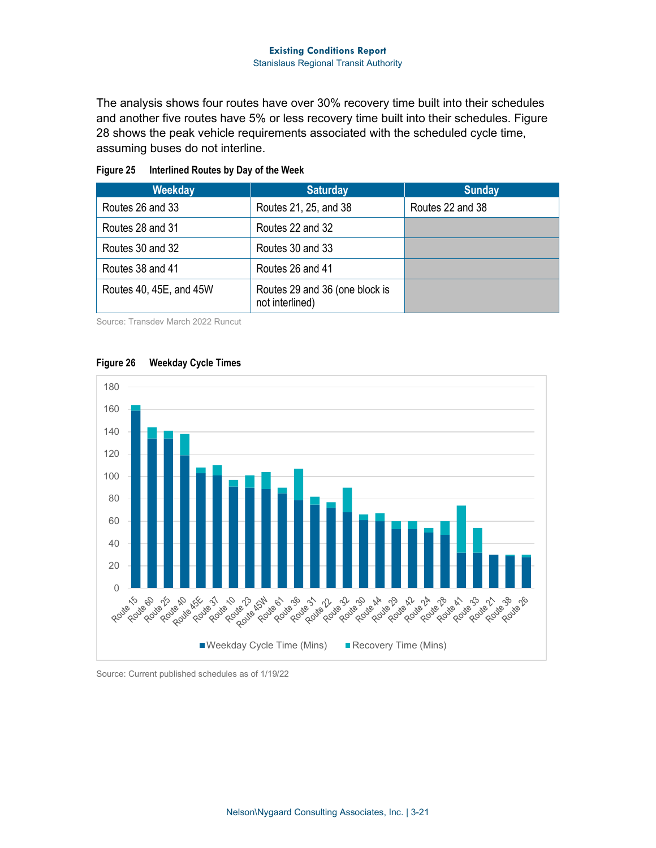The analysis shows four routes have over 30% recovery time built into their schedules and another five routes have 5% or less recovery time built into their schedules. [Figure](#page-21-1)  [28](#page-21-1) shows the peak vehicle requirements associated with the scheduled cycle time, assuming buses do not interline.

| Weekday                 | <b>Saturday</b>                                   | <b>Sunday</b>    |
|-------------------------|---------------------------------------------------|------------------|
| Routes 26 and 33        | Routes 21, 25, and 38                             | Routes 22 and 38 |
| Routes 28 and 31        | Routes 22 and 32                                  |                  |
| Routes 30 and 32        | Routes 30 and 33                                  |                  |
| Routes 38 and 41        | Routes 26 and 41                                  |                  |
| Routes 40, 45E, and 45W | Routes 29 and 36 (one block is<br>not interlined) |                  |

### <span id="page-20-0"></span>**Figure 25 Interlined Routes by Day of the Week**

Source: Transdev March 2022 Runcut



### <span id="page-20-1"></span>**Figure 26 Weekday Cycle Times**

#### Source: Current published schedules as of 1/19/22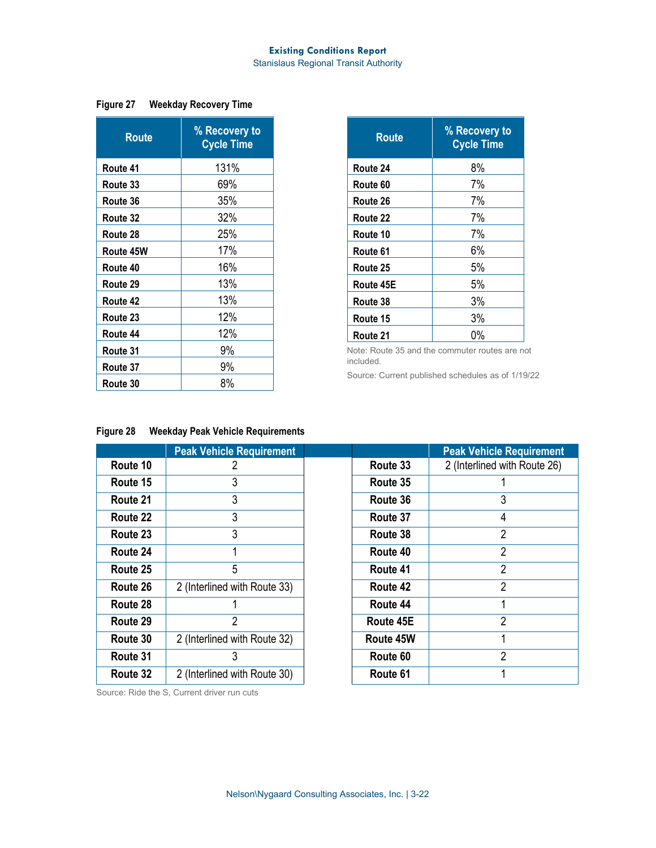Stanislaus Regional Transit Authority

### <span id="page-21-0"></span>**Figure 27 Weekday Recovery Time**

| Route     | % Recovery to<br><b>Cycle Time</b> |  |  |
|-----------|------------------------------------|--|--|
| Route 41  | 131%                               |  |  |
| Route 33  | 69%                                |  |  |
| Route 36  | 35%                                |  |  |
| Route 32  | 32%                                |  |  |
| Route 28  | 25%                                |  |  |
| Route 45W | 17%                                |  |  |
| Route 40  | 16%                                |  |  |
| Route 29  | 13%                                |  |  |
| Route 42  | 13%                                |  |  |
| Route 23  | 12%                                |  |  |
| Route 44  | 12%                                |  |  |
| Route 31  | 9%                                 |  |  |
| Route 37  | 9%                                 |  |  |
| Route 30  | 8%                                 |  |  |

| <b>Route</b> | % Recovery to<br><b>Cycle Time</b> |  |  |
|--------------|------------------------------------|--|--|
| Route 24     | 8%                                 |  |  |
| Route 60     | 7%                                 |  |  |
| Route 26     | 7%                                 |  |  |
| Route 22     | 7%                                 |  |  |
| Route 10     | 7%                                 |  |  |
| Route 61     | 6%                                 |  |  |
| Route 25     | 5%                                 |  |  |
| Route 45E    | 5%                                 |  |  |
| Route 38     | 3%                                 |  |  |
| Route 15     | 3%                                 |  |  |
| Route 21     | 0%                                 |  |  |

Note: Route 35 and the commuter routes are not included.

Source: Current published schedules as of 1/19/22

## <span id="page-21-1"></span>**Figure 28 Weekday Peak Vehicle Requirements**

|          | <b>Peak Vehicle Requirement</b> |           | <b>Peak Vehicle Requirement</b> |
|----------|---------------------------------|-----------|---------------------------------|
| Route 10 |                                 | Route 33  | 2 (Interlined with Route 26)    |
| Route 15 | 3                               | Route 35  |                                 |
| Route 21 | 3                               | Route 36  |                                 |
| Route 22 | 3                               | Route 37  | 4                               |
| Route 23 | 3                               | Route 38  | 2                               |
| Route 24 |                                 | Route 40  | 2                               |
| Route 25 | 5                               | Route 41  | $\overline{2}$                  |
| Route 26 | 2 (Interlined with Route 33)    | Route 42  | 2                               |
| Route 28 |                                 | Route 44  |                                 |
| Route 29 | $\overline{2}$                  | Route 45E | $\mathfrak{p}$                  |
| Route 30 | 2 (Interlined with Route 32)    | Route 45W |                                 |
| Route 31 | 3                               | Route 60  | 2                               |
| Route 32 | 2 (Interlined with Route 30)    | Route 61  |                                 |

Source: Ride the S, Current driver run cuts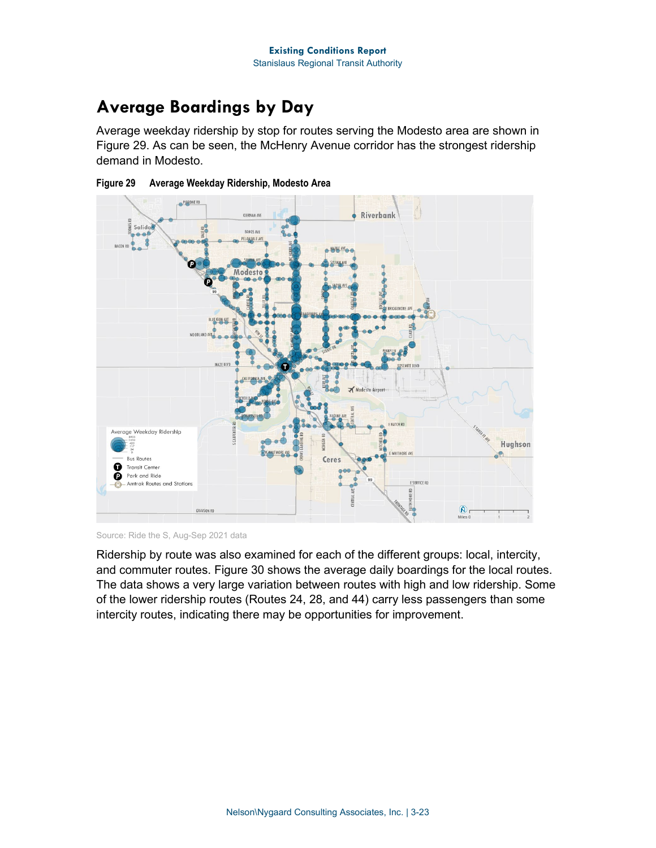## **Average Boardings by Day**

Average weekday ridership by stop for routes serving the Modesto area are shown in [Figure 29.](#page-22-0) As can be seen, the McHenry Avenue corridor has the strongest ridership demand in Modesto.



<span id="page-22-0"></span>

Source: Ride the S, Aug-Sep 2021 data

Ridership by route was also examined for each of the different groups: local, intercity, and commuter routes. [Figure 30](#page-23-0) shows the average daily boardings for the local routes. The data shows a very large variation between routes with high and low ridership. Some of the lower ridership routes (Routes 24, 28, and 44) carry less passengers than some intercity routes, indicating there may be opportunities for improvement.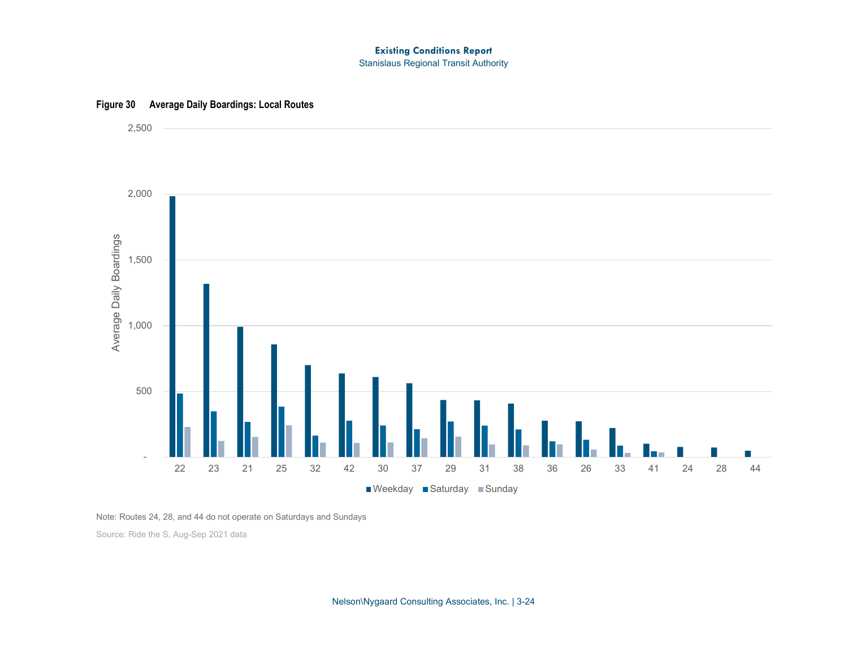#### **Existing Conditions Report** Stanislaus Regional Transit Authority

<span id="page-23-0"></span>

## **Figure 30 Average Daily Boardings: Local Routes**

Note: Routes 24, 28, and 44 do not operate on Saturdays and Sundays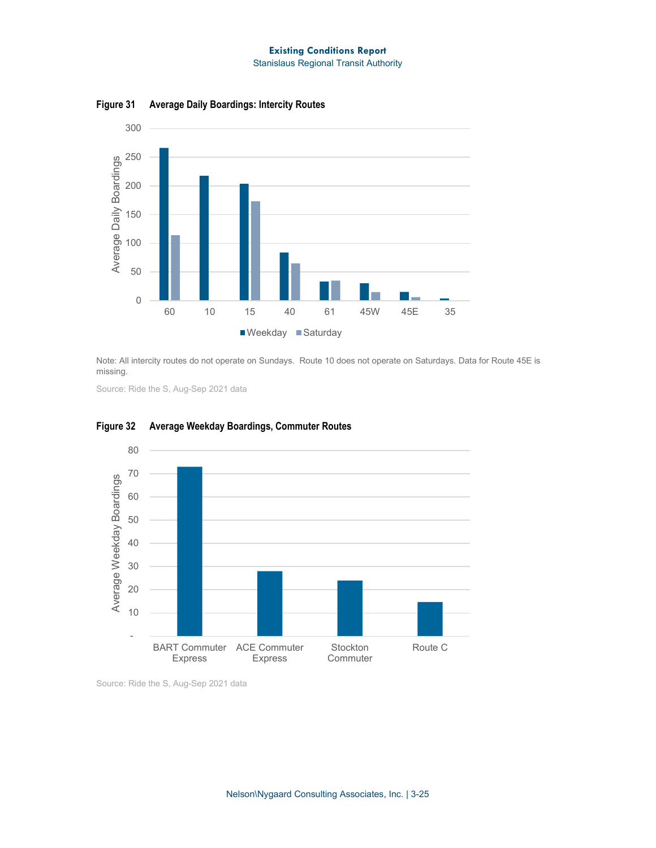Stanislaus Regional Transit Authority



**Figure 31 Average Daily Boardings: Intercity Routes**

Note: All intercity routes do not operate on Sundays. Route 10 does not operate on Saturdays. Data for Route 45E is missing.

Source: Ride the S, Aug-Sep 2021 data



#### **Figure 32 Average Weekday Boardings, Commuter Routes**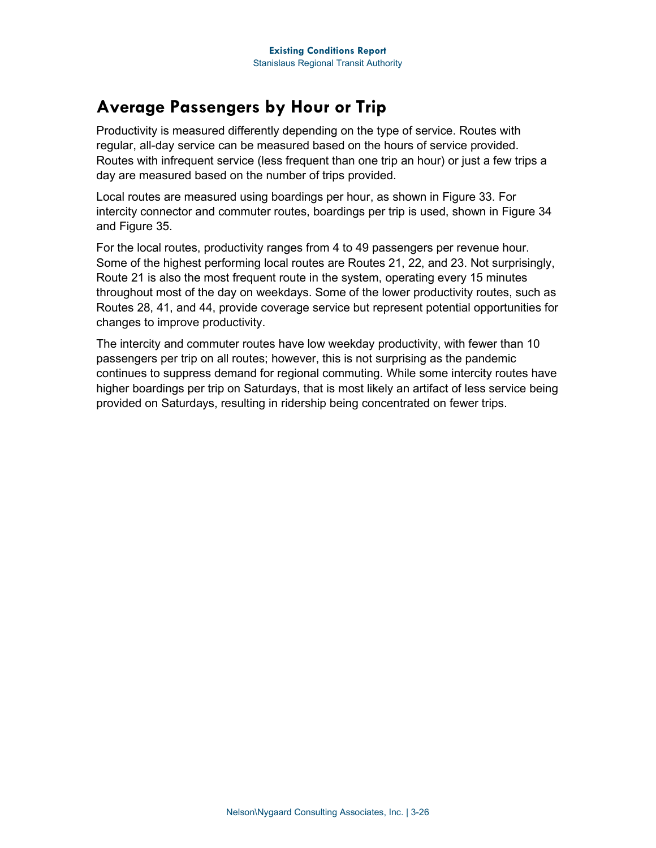## **Average Passengers by Hour or Trip**

Productivity is measured differently depending on the type of service. Routes with regular, all-day service can be measured based on the hours of service provided. Routes with infrequent service (less frequent than one trip an hour) or just a few trips a day are measured based on the number of trips provided.

Local routes are measured using boardings per hour, as shown in [Figure 33.](#page-26-0) For intercity connector and commuter routes, boardings per trip is used, shown in [Figure 34](#page-27-0) and [Figure 35.](#page-27-1)

For the local routes, productivity ranges from 4 to 49 passengers per revenue hour. Some of the highest performing local routes are Routes 21, 22, and 23. Not surprisingly, Route 21 is also the most frequent route in the system, operating every 15 minutes throughout most of the day on weekdays. Some of the lower productivity routes, such as Routes 28, 41, and 44, provide coverage service but represent potential opportunities for changes to improve productivity.

The intercity and commuter routes have low weekday productivity, with fewer than 10 passengers per trip on all routes; however, this is not surprising as the pandemic continues to suppress demand for regional commuting. While some intercity routes have higher boardings per trip on Saturdays, that is most likely an artifact of less service being provided on Saturdays, resulting in ridership being concentrated on fewer trips.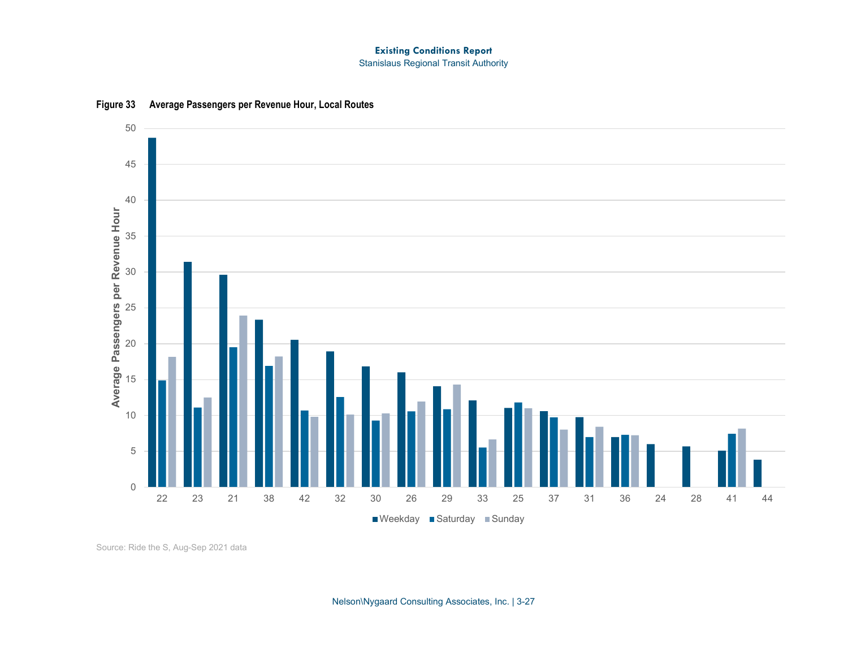#### **Existing Conditions Report** Stanislaus Regional Transit Authority

<span id="page-26-0"></span>

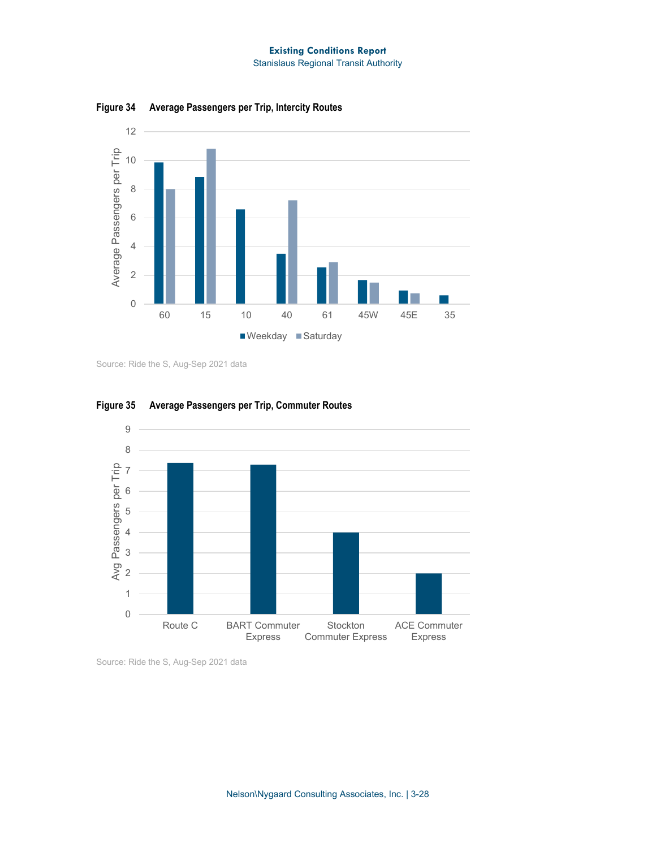Stanislaus Regional Transit Authority



<span id="page-27-0"></span>**Figure 34 Average Passengers per Trip, Intercity Routes**

Source: Ride the S, Aug-Sep 2021 data



<span id="page-27-1"></span>**Figure 35 Average Passengers per Trip, Commuter Routes**